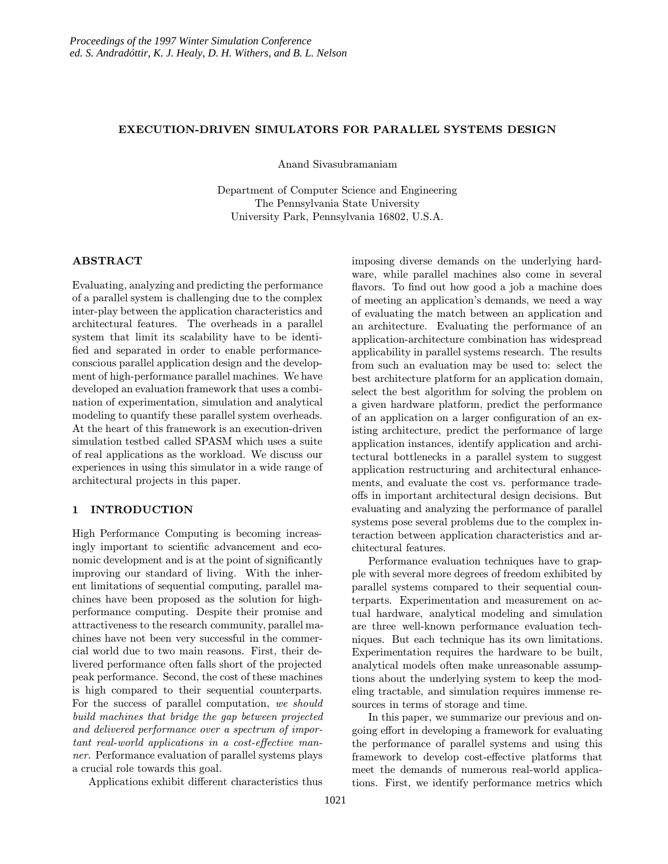#### EXECUTION-DRIVEN SIMULATORS FOR PARALLEL SYSTEMS DESIGN

Anand Sivasubramaniam

Department of Computer Science and Engineering The Pennsylvania State University University Park, Pennsylvania 16802, U.S.A.

# ABSTRACT

Evaluating, analyzing and predicting the performance of a parallel system is challenging due to the complex inter-play between the application characteristics and architectural features. The overheads in a parallel system that limit its scalability have to be identified and separated in order to enable performanceconscious parallel application design and the development of high-performance parallel machines. We have developed an evaluation framework that uses a combination of experimentation, simulation and analytical modeling to quantify these parallel system overheads. At the heart of this framework is an execution-driven simulation testbed called SPASM which uses a suite of real applications as the workload. We discuss our experiences in using this simulator in a wide range of architectural projects in this paper.

# 1 INTRODUCTION

High Performance Computing is becoming increasingly important to scientific advancement and economic development and is at the point of significantly improving our standard of living. With the inherent limitations of sequential computing, parallel machines have been proposed as the solution for highperformance computing. Despite their promise and attractiveness to the research community, parallel machines have not been very successful in the commercial world due to two main reasons. First, their delivered performance often falls short of the projected peak performance. Second, the cost of these machines is high compared to their sequential counterparts. For the success of parallel computation, we should build machines that bridge the gap between projected and delivered performance over a spectrum of important real-world applications in a cost-effective manner. Performance evaluation of parallel systems plays a crucial role towards this goal.

Applications exhibit different characteristics thus

imposing diverse demands on the underlying hardware, while parallel machines also come in several flavors. To find out how good a job a machine does of meeting an application's demands, we need a way of evaluating the match between an application and an architecture. Evaluating the performance of an application-architecture combination has widespread applicability in parallel systems research. The results from such an evaluation may be used to: select the best architecture platform for an application domain, select the best algorithm for solving the problem on a given hardware platform, predict the performance of an application on a larger configuration of an existing architecture, predict the performance of large application instances, identify application and architectural bottlenecks in a parallel system to suggest application restructuring and architectural enhancements, and evaluate the cost vs. performance tradeoffs in important architectural design decisions. But evaluating and analyzing the performance of parallel systems pose several problems due to the complex interaction between application characteristics and architectural features.

Performance evaluation techniques have to grapple with several more degrees of freedom exhibited by parallel systems compared to their sequential counterparts. Experimentation and measurement on actual hardware, analytical modeling and simulation are three well-known performance evaluation techniques. But each technique has its own limitations. Experimentation requires the hardware to be built, analytical models often make unreasonable assumptions about the underlying system to keep the modeling tractable, and simulation requires immense resources in terms of storage and time.

In this paper, we summarize our previous and ongoing effort in developing a framework for evaluating the performance of parallel systems and using this framework to develop cost-effective platforms that meet the demands of numerous real-world applications. First, we identify performance metrics which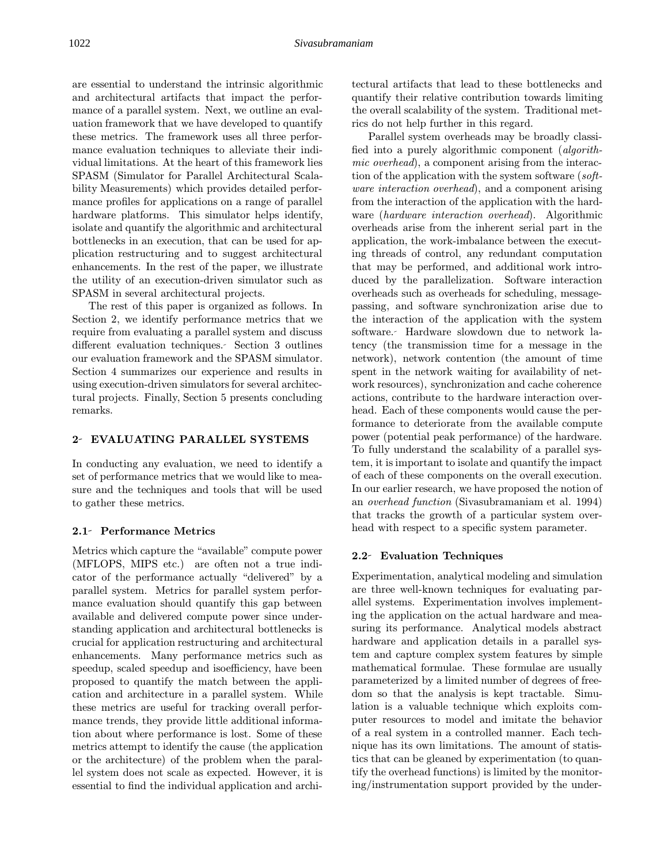are essential to understand the intrinsic algorithmic and architectural artifacts that impact the performance of a parallel system. Next, we outline an evaluation framework that we have developed to quantify these metrics. The framework uses all three performance evaluation techniques to alleviate their individual limitations. At the heart of this framework lies SPASM (Simulator for Parallel Architectural Scalability Measurements) which provides detailed performance profiles for applications on a range of parallel hardware platforms. This simulator helps identify, isolate and quantify the algorithmic and architectural bottlenecks in an execution, that can be used for application restructuring and to suggest architectural enhancements. In the rest of the paper, we illustrate the utility of an execution-driven simulator such as SPASM in several architectural projects.

The rest of this paper is organized as follows. In Section 2, we identify performance metrics that we require from evaluating a parallel system and discuss different evaluation techniques. Section 3 outlines our evaluation framework and the SPASM simulator. Section 4 summarizes our experience and results in using execution-driven simulators for several architectural projects. Finally, Section 5 presents concluding remarks.

## 2- EVALUATING PARALLEL SYSTEMS

In conducting any evaluation, we need to identify a set of performance metrics that we would like to measure and the techniques and tools that will be used to gather these metrics.

## 2.1 Performance Metrics

Metrics which capture the "available" compute power (MFLOPS, MIPS etc.) are often not a true indicator of the performance actually "delivered" by a parallel system. Metrics for parallel system performance evaluation should quantify this gap between available and delivered compute power since understanding application and architectural bottlenecks is crucial for application restructuring and architectural enhancements. Many performance metrics such as speedup, scaled speedup and isoefficiency, have been proposed to quantify the match between the application and architecture in a parallel system. While these metrics are useful for tracking overall performance trends, they provide little additional information about where performance is lost. Some of these metrics attempt to identify the cause (the application or the architecture) of the problem when the parallel system does not scale as expected. However, it is essential to find the individual application and architectural artifacts that lead to these bottlenecks and quantify their relative contribution towards limiting the overall scalability of the system. Traditional metrics do not help further in this regard.

Parallel system overheads may be broadly classified into a purely algorithmic component (algorithmic overhead), a component arising from the interaction of the application with the system software (software interaction overhead), and a component arising from the interaction of the application with the hardware *(hardware interaction overhead)*. Algorithmic overheads arise from the inherent serial part in the application, the work-imbalance between the executing threads of control, any redundant computation that may be performed, and additional work introduced by the parallelization. Software interaction overheads such as overheads for scheduling, messagepassing, and software synchronization arise due to the interaction of the application with the system software. Hardware slowdown due to network latency (the transmission time for a message in the network), network contention (the amount of time spent in the network waiting for availability of network resources), synchronization and cache coherence actions, contribute to the hardware interaction overhead. Each of these components would cause the performance to deteriorate from the available compute power (potential peak performance) of the hardware. To fully understand the scalability of a parallel system, it is important to isolate and quantify the impact of each of these components on the overall execution. In our earlier research, we have proposed the notion of an overhead function (Sivasubramaniam et al. 1994) that tracks the growth of a particular system overhead with respect to a specific system parameter.

#### 2.2 Evaluation Techniques

Experimentation, analytical modeling and simulation are three well-known techniques for evaluating parallel systems. Experimentation involves implementing the application on the actual hardware and measuring its performance. Analytical models abstract hardware and application details in a parallel system and capture complex system features by simple mathematical formulae. These formulae are usually parameterized by a limited number of degrees of freedom so that the analysis is kept tractable. Simulation is a valuable technique which exploits computer resources to model and imitate the behavior of a real system in a controlled manner. Each technique has its own limitations. The amount of statistics that can be gleaned by experimentation (to quantify the overhead functions) is limited by the monitoring/instrumentation support provided by the under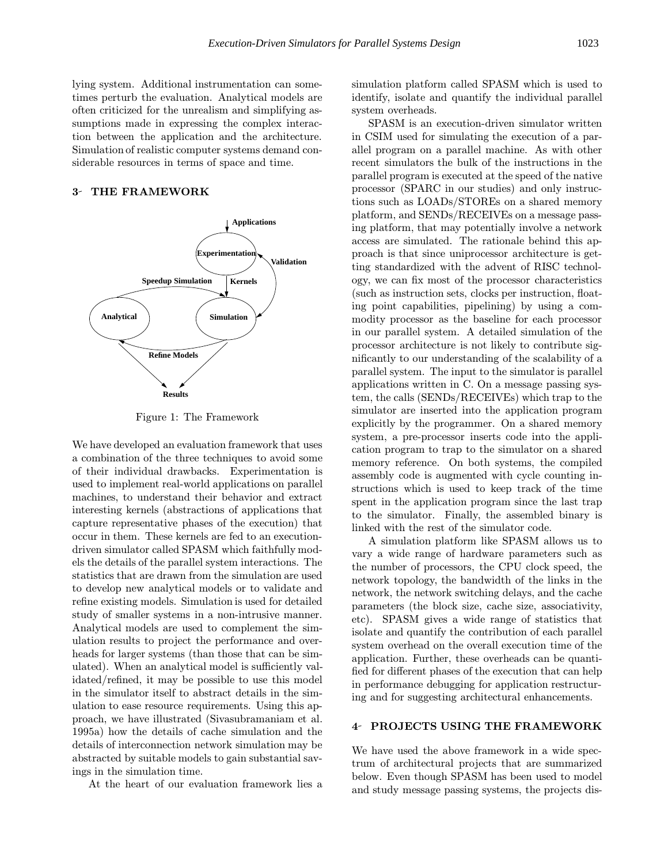lying system. Additional instrumentation can sometimes perturb the evaluation. Analytical models are often criticized for the unrealism and simplifying assumptions made in expressing the complex interaction between the application and the architecture. Simulation of realistic computer systems demand considerable resources in terms of space and time.

### 3 THE FRAMEWORK



Figure 1: The Framework

We have developed an evaluation framework that uses a combination of the three techniques to avoid some of their individual drawbacks. Experimentation is used to implement real-world applications on parallel machines, to understand their behavior and extract interesting kernels (abstractions of applications that capture representative phases of the execution) that occur in them. These kernels are fed to an executiondriven simulator called SPASM which faithfully models the details of the parallel system interactions. The statistics that are drawn from the simulation are used to develop new analytical models or to validate and refine existing models. Simulation is used for detailed study of smaller systems in a non-intrusive manner. Analytical models are used to complement the simulation results to project the performance and overheads for larger systems (than those that can be simulated). When an analytical model is sufficiently validated/refined, it may be possible to use this model in the simulator itself to abstract details in the simulation to ease resource requirements. Using this approach, we have illustrated (Sivasubramaniam et al. 1995a) how the details of cache simulation and the details of interconnection network simulation may be abstracted by suitable models to gain substantial savings in the simulation time.

At the heart of our evaluation framework lies a

simulation platform called SPASM which is used to identify, isolate and quantify the individual parallel system overheads.

SPASM is an execution-driven simulator written in CSIM used for simulating the execution of a parallel program on a parallel machine. As with other recent simulators the bulk of the instructions in the parallel program is executed at the speed of the native processor (SPARC in our studies) and only instructions such as LOADs/STOREs on a shared memory platform, and SENDs/RECEIVEs on a message passing platform, that may potentially involve a network access are simulated. The rationale behind this approach is that since uniprocessor architecture is getting standardized with the advent of RISC technology, we can fix most of the processor characteristics (such as instruction sets, clocks per instruction, floating point capabilities, pipelining) by using a commodity processor as the baseline for each processor in our parallel system. A detailed simulation of the processor architecture is not likely to contribute significantly to our understanding of the scalability of a parallel system. The input to the simulator is parallel applications written in C. On a message passing system, the calls (SENDs/RECEIVEs) which trap to the simulator are inserted into the application program explicitly by the programmer. On a shared memory system, a pre-processor inserts code into the application program to trap to the simulator on a shared memory reference. On both systems, the compiled assembly code is augmented with cycle counting instructions which is used to keep track of the time spent in the application program since the last trap to the simulator. Finally, the assembled binary is linked with the rest of the simulator code.

A simulation platform like SPASM allows us to vary a wide range of hardware parameters such as the number of processors, the CPU clock speed, the network topology, the bandwidth of the links in the network, the network switching delays, and the cache parameters (the block size, cache size, associativity, etc). SPASM gives a wide range of statistics that isolate and quantify the contribution of each parallel system overhead on the overall execution time of the application. Further, these overheads can be quantified for different phases of the execution that can help in performance debugging for application restructuring and for suggesting architectural enhancements.

## 4 PROJECTS USING THE FRAMEWORK

We have used the above framework in a wide spectrum of architectural projects that are summarized below. Even though SPASM has been used to model and study message passing systems, the projects dis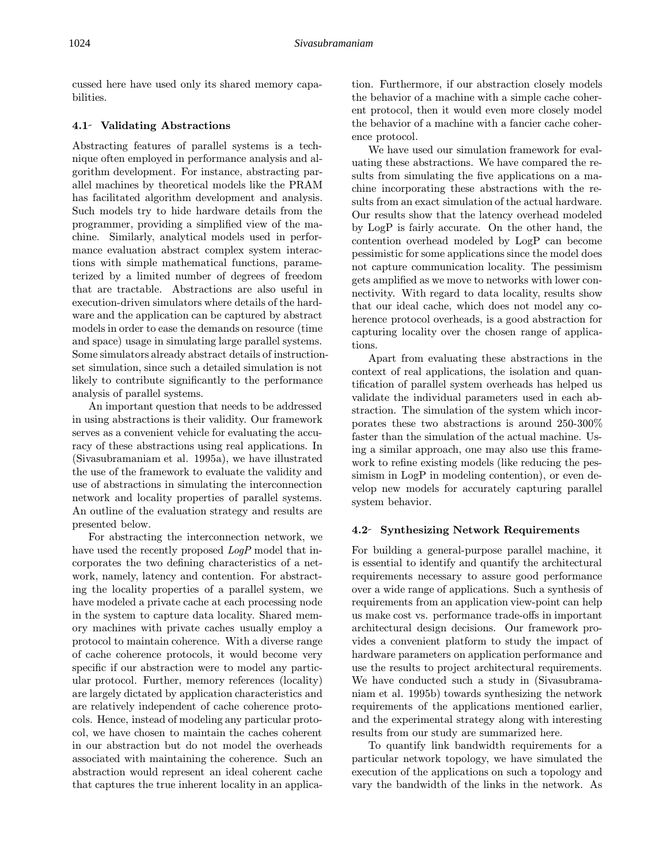cussed here have used only its shared memory capabilities.

### 4.1 Validating Abstractions

Abstracting features of parallel systems is a technique often employed in performance analysis and algorithm development. For instance, abstracting parallel machines by theoretical models like the PRAM has facilitated algorithm development and analysis. Such models try to hide hardware details from the programmer, providing a simplified view of the machine. Similarly, analytical models used in performance evaluation abstract complex system interactions with simple mathematical functions, parameterized by a limited number of degrees of freedom that are tractable. Abstractions are also useful in execution-driven simulators where details of the hardware and the application can be captured by abstract models in order to ease the demands on resource (time and space) usage in simulating large parallel systems. Some simulators already abstract details of instructionset simulation, since such a detailed simulation is not likely to contribute significantly to the performance analysis of parallel systems.

An important question that needs to be addressed in using abstractions is their validity. Our framework serves as a convenient vehicle for evaluating the accuracy of these abstractions using real applications. In (Sivasubramaniam et al. 1995a), we have illustrated the use of the framework to evaluate the validity and use of abstractions in simulating the interconnection network and locality properties of parallel systems. An outline of the evaluation strategy and results are presented below.

For abstracting the interconnection network, we have used the recently proposed  $LogP$  model that incorporates the two defining characteristics of a network, namely, latency and contention. For abstracting the locality properties of a parallel system, we have modeled a private cache at each processing node in the system to capture data locality. Shared memory machines with private caches usually employ a protocol to maintain coherence. With a diverse range of cache coherence protocols, it would become very specific if our abstraction were to model any particular protocol. Further, memory references (locality) are largely dictated by application characteristics and are relatively independent of cache coherence protocols. Hence, instead of modeling any particular protocol, we have chosen to maintain the caches coherent in our abstraction but do not model the overheads associated with maintaining the coherence. Such an abstraction would represent an ideal coherent cache that captures the true inherent locality in an application. Furthermore, if our abstraction closely models the behavior of a machine with a simple cache coherent protocol, then it would even more closely model the behavior of a machine with a fancier cache coherence protocol.

We have used our simulation framework for evaluating these abstractions. We have compared the results from simulating the five applications on a machine incorporating these abstractions with the results from an exact simulation of the actual hardware. Our results show that the latency overhead modeled by LogP is fairly accurate. On the other hand, the contention overhead modeled by LogP can become pessimistic for some applications since the model does not capture communication locality. The pessimism gets amplified as we move to networks with lower connectivity. With regard to data locality, results show that our ideal cache, which does not model any coherence protocol overheads, is a good abstraction for capturing locality over the chosen range of applications.

Apart from evaluating these abstractions in the context of real applications, the isolation and quantification of parallel system overheads has helped us validate the individual parameters used in each abstraction. The simulation of the system which incorporates these two abstractions is around 250-300% faster than the simulation of the actual machine. Using a similar approach, one may also use this framework to refine existing models (like reducing the pessimism in LogP in modeling contention), or even develop new models for accurately capturing parallel system behavior.

#### 4.2 Synthesizing Network Requirements

For building a general-purpose parallel machine, it is essential to identify and quantify the architectural requirements necessary to assure good performance over a wide range of applications. Such a synthesis of requirements from an application view-point can help us make cost vs. performance trade-offs in important architectural design decisions. Our framework provides a convenient platform to study the impact of hardware parameters on application performance and use the results to project architectural requirements. We have conducted such a study in (Sivasubramaniam et al. 1995b) towards synthesizing the network requirements of the applications mentioned earlier, and the experimental strategy along with interesting results from our study are summarized here.

To quantify link bandwidth requirements for a particular network topology, we have simulated the execution of the applications on such a topology and vary the bandwidth of the links in the network. As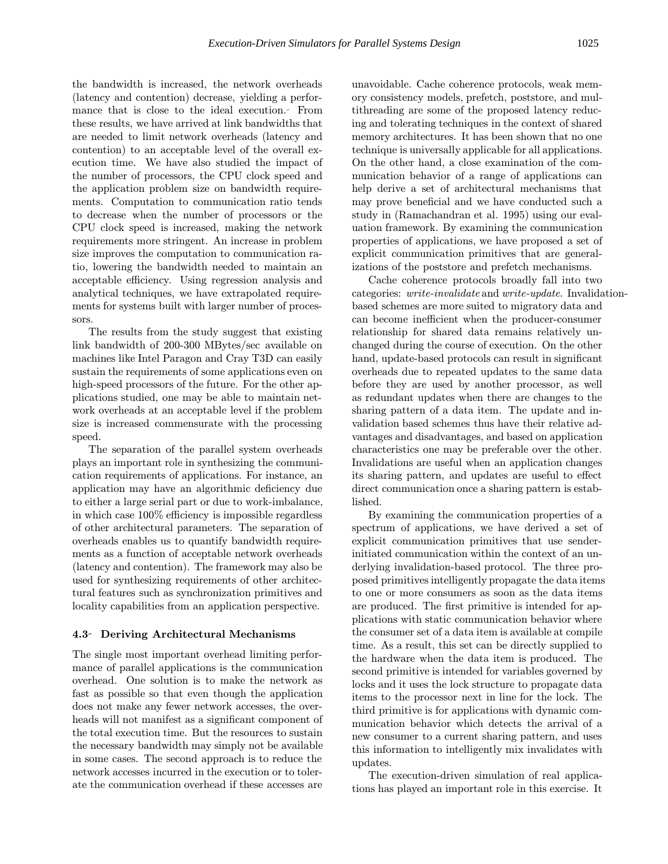the bandwidth is increased, the network overheads (latency and contention) decrease, yielding a performance that is close to the ideal execution. From these results, we have arrived at link bandwidths that are needed to limit network overheads (latency and contention) to an acceptable level of the overall execution time. We have also studied the impact of the number of processors, the CPU clock speed and the application problem size on bandwidth requirements. Computation to communication ratio tends to decrease when the number of processors or the CPU clock speed is increased, making the network requirements more stringent. An increase in problem size improves the computation to communication ratio, lowering the bandwidth needed to maintain an acceptable efficiency. Using regression analysis and analytical techniques, we have extrapolated requirements for systems built with larger number of processors.

The results from the study suggest that existing link bandwidth of 200-300 MBytes/sec available on machines like Intel Paragon and Cray T3D can easily sustain the requirements of some applications even on high-speed processors of the future. For the other applications studied, one may be able to maintain network overheads at an acceptable level if the problem size is increased commensurate with the processing speed.

The separation of the parallel system overheads plays an important role in synthesizing the communication requirements of applications. For instance, an application may have an algorithmic deficiency due to either a large serial part or due to work-imbalance, in which case 100% efficiency is impossible regardless of other architectural parameters. The separation of overheads enables us to quantify bandwidth requirements as a function of acceptable network overheads (latency and contention). The framework may also be used for synthesizing requirements of other architectural features such as synchronization primitives and locality capabilities from an application perspective.

#### 4.3 Deriving Architectural Mechanisms

The single most important overhead limiting performance of parallel applications is the communication overhead. One solution is to make the network as fast as possible so that even though the application does not make any fewer network accesses, the overheads will not manifest as a significant component of the total execution time. But the resources to sustain the necessary bandwidth may simply not be available in some cases. The second approach is to reduce the network accesses incurred in the execution or to tolerate the communication overhead if these accesses are

unavoidable. Cache coherence protocols, weak memory consistency models, prefetch, poststore, and multithreading are some of the proposed latency reducing and tolerating techniques in the context of shared memory architectures. It has been shown that no one technique is universally applicable for all applications. On the other hand, a close examination of the communication behavior of a range of applications can help derive a set of architectural mechanisms that may prove beneficial and we have conducted such a study in (Ramachandran et al. 1995) using our evaluation framework. By examining the communication properties of applications, we have proposed a set of explicit communication primitives that are generalizations of the poststore and prefetch mechanisms.

Cache coherence protocols broadly fall into two categories: write-invalidate and write-update. Invalidationbased schemes are more suited to migratory data and can become inefficient when the producer-consumer relationship for shared data remains relatively unchanged during the course of execution. On the other hand, update-based protocols can result in significant overheads due to repeated updates to the same data before they are used by another processor, as well as redundant updates when there are changes to the sharing pattern of a data item. The update and invalidation based schemes thus have their relative advantages and disadvantages, and based on application characteristics one may be preferable over the other. Invalidations are useful when an application changes its sharing pattern, and updates are useful to effect direct communication once a sharing pattern is established.

By examining the communication properties of a spectrum of applications, we have derived a set of explicit communication primitives that use senderinitiated communication within the context of an underlying invalidation-based protocol. The three proposed primitives intelligently propagate the data items to one or more consumers as soon as the data items are produced. The first primitive is intended for applications with static communication behavior where the consumer set of a data item is available at compile time. As a result, this set can be directly supplied to the hardware when the data item is produced. The second primitive is intended for variables governed by locks and it uses the lock structure to propagate data items to the processor next in line for the lock. The third primitive is for applications with dynamic communication behavior which detects the arrival of a new consumer to a current sharing pattern, and uses this information to intelligently mix invalidates with updates.

The execution-driven simulation of real applications has played an important role in this exercise. It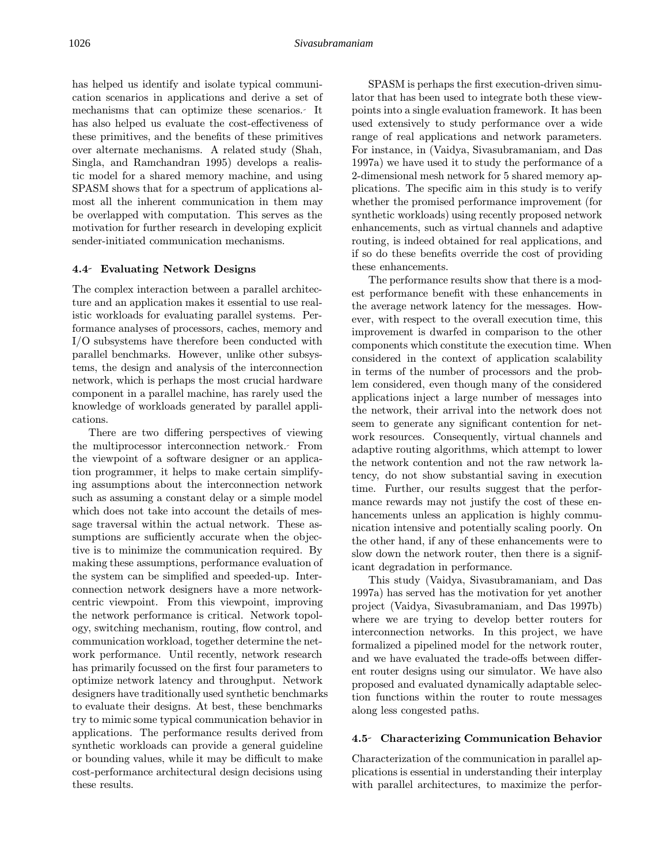has helped us identify and isolate typical communication scenarios in applications and derive a set of mechanisms that can optimize these scenarios. It has also helped us evaluate the cost-effectiveness of these primitives, and the benefits of these primitives over alternate mechanisms. A related study (Shah, Singla, and Ramchandran 1995) develops a realistic model for a shared memory machine, and using SPASM shows that for a spectrum of applications almost all the inherent communication in them may be overlapped with computation. This serves as the motivation for further research in developing explicit sender-initiated communication mechanisms.

#### 4.4 Evaluating Network Designs

The complex interaction between a parallel architecture and an application makes it essential to use realistic workloads for evaluating parallel systems. Performance analyses of processors, caches, memory and I/O subsystems have therefore been conducted with parallel benchmarks. However, unlike other subsystems, the design and analysis of the interconnection network, which is perhaps the most crucial hardware component in a parallel machine, has rarely used the knowledge of workloads generated by parallel applications.

There are two differing perspectives of viewing the multiprocessor interconnection network. From the viewpoint of a software designer or an application programmer, it helps to make certain simplifying assumptions about the interconnection network such as assuming a constant delay or a simple model which does not take into account the details of message traversal within the actual network. These assumptions are sufficiently accurate when the objective is to minimize the communication required. By making these assumptions, performance evaluation of the system can be simplified and speeded-up. Interconnection network designers have a more networkcentric viewpoint. From this viewpoint, improving the network performance is critical. Network topology, switching mechanism, routing, flow control, and communication workload, together determine the network performance. Until recently, network research has primarily focussed on the first four parameters to optimize network latency and throughput. Network designers have traditionally used synthetic benchmarks to evaluate their designs. At best, these benchmarks try to mimic some typical communication behavior in applications. The performance results derived from synthetic workloads can provide a general guideline or bounding values, while it may be difficult to make cost-performance architectural design decisions using these results.

SPASM is perhaps the first execution-driven simulator that has been used to integrate both these viewpoints into a single evaluation framework. It has been used extensively to study performance over a wide range of real applications and network parameters. For instance, in (Vaidya, Sivasubramaniam, and Das 1997a) we have used it to study the performance of a 2-dimensional mesh network for 5 shared memory applications. The specific aim in this study is to verify whether the promised performance improvement (for synthetic workloads) using recently proposed network enhancements, such as virtual channels and adaptive routing, is indeed obtained for real applications, and if so do these benefits override the cost of providing these enhancements.

The performance results show that there is a modest performance benefit with these enhancements in the average network latency for the messages. However, with respect to the overall execution time, this improvement is dwarfed in comparison to the other components which constitute the execution time. When considered in the context of application scalability in terms of the number of processors and the problem considered, even though many of the considered applications inject a large number of messages into the network, their arrival into the network does not seem to generate any significant contention for network resources. Consequently, virtual channels and adaptive routing algorithms, which attempt to lower the network contention and not the raw network latency, do not show substantial saving in execution time. Further, our results suggest that the performance rewards may not justify the cost of these enhancements unless an application is highly communication intensive and potentially scaling poorly. On the other hand, if any of these enhancements were to slow down the network router, then there is a significant degradation in performance.

This study (Vaidya, Sivasubramaniam, and Das 1997a) has served has the motivation for yet another project (Vaidya, Sivasubramaniam, and Das 1997b) where we are trying to develop better routers for interconnection networks. In this project, we have formalized a pipelined model for the network router, and we have evaluated the trade-offs between different router designs using our simulator. We have also proposed and evaluated dynamically adaptable selection functions within the router to route messages along less congested paths.

### 4.5 Characterizing Communication Behavior

Characterization of the communication in parallel applications is essential in understanding their interplay with parallel architectures, to maximize the perfor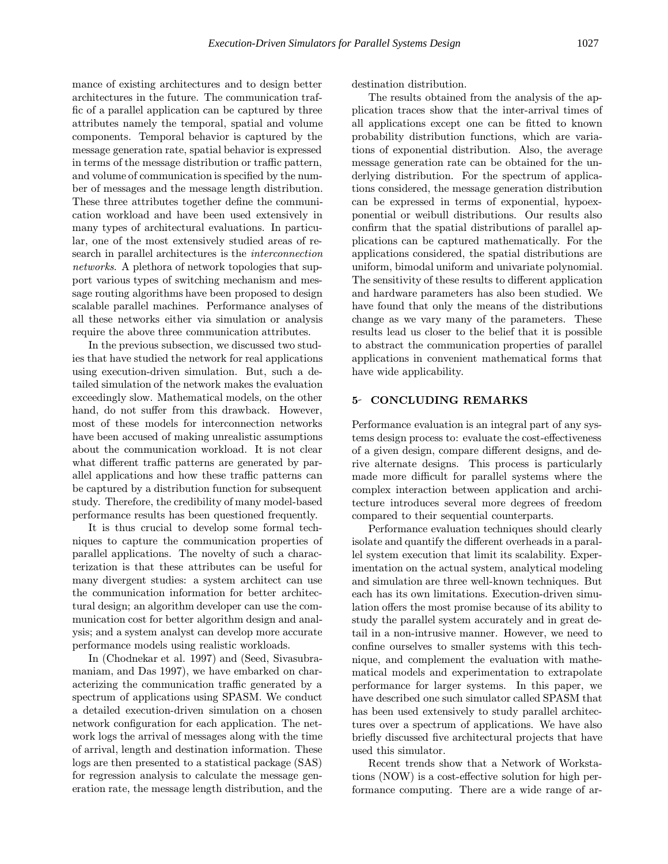mance of existing architectures and to design better architectures in the future. The communication traffic of a parallel application can be captured by three attributes namely the temporal, spatial and volume components. Temporal behavior is captured by the message generation rate, spatial behavior is expressed in terms of the message distribution or traffic pattern, and volume of communication is specified by the number of messages and the message length distribution. These three attributes together define the communication workload and have been used extensively in many types of architectural evaluations. In particular, one of the most extensively studied areas of research in parallel architectures is the interconnection networks. A plethora of network topologies that support various types of switching mechanism and message routing algorithms have been proposed to design scalable parallel machines. Performance analyses of all these networks either via simulation or analysis require the above three communication attributes.

In the previous subsection, we discussed two studies that have studied the network for real applications using execution-driven simulation. But, such a detailed simulation of the network makes the evaluation exceedingly slow. Mathematical models, on the other hand, do not suffer from this drawback. However, most of these models for interconnection networks have been accused of making unrealistic assumptions about the communication workload. It is not clear what different traffic patterns are generated by parallel applications and how these traffic patterns can be captured by a distribution function for subsequent study. Therefore, the credibility of many model-based performance results has been questioned frequently.

It is thus crucial to develop some formal techniques to capture the communication properties of parallel applications. The novelty of such a characterization is that these attributes can be useful for many divergent studies: a system architect can use the communication information for better architectural design; an algorithm developer can use the communication cost for better algorithm design and analysis; and a system analyst can develop more accurate performance models using realistic workloads.

In (Chodnekar et al. 1997) and (Seed, Sivasubramaniam, and Das 1997), we have embarked on characterizing the communication traffic generated by a spectrum of applications using SPASM. We conduct a detailed execution-driven simulation on a chosen network configuration for each application. The network logs the arrival of messages along with the time of arrival, length and destination information. These logs are then presented to a statistical package (SAS) for regression analysis to calculate the message generation rate, the message length distribution, and the destination distribution.

The results obtained from the analysis of the application traces show that the inter-arrival times of all applications except one can be fitted to known probability distribution functions, which are variations of exponential distribution. Also, the average message generation rate can be obtained for the underlying distribution. For the spectrum of applications considered, the message generation distribution can be expressed in terms of exponential, hypoexponential or weibull distributions. Our results also confirm that the spatial distributions of parallel applications can be captured mathematically. For the applications considered, the spatial distributions are uniform, bimodal uniform and univariate polynomial. The sensitivity of these results to different application and hardware parameters has also been studied. We have found that only the means of the distributions change as we vary many of the parameters. These results lead us closer to the belief that it is possible to abstract the communication properties of parallel applications in convenient mathematical forms that have wide applicability.

### 5- CONCLUDING REMARKS

Performance evaluation is an integral part of any systems design process to: evaluate the cost-effectiveness of a given design, compare different designs, and derive alternate designs. This process is particularly made more difficult for parallel systems where the complex interaction between application and architecture introduces several more degrees of freedom compared to their sequential counterparts.

Performance evaluation techniques should clearly isolate and quantify the different overheads in a parallel system execution that limit its scalability. Experimentation on the actual system, analytical modeling and simulation are three well-known techniques. But each has its own limitations. Execution-driven simulation offers the most promise because of its ability to study the parallel system accurately and in great detail in a non-intrusive manner. However, we need to confine ourselves to smaller systems with this technique, and complement the evaluation with mathematical models and experimentation to extrapolate performance for larger systems. In this paper, we have described one such simulator called SPASM that has been used extensively to study parallel architectures over a spectrum of applications. We have also briefly discussed five architectural projects that have used this simulator.

Recent trends show that a Network of Workstations (NOW) is a cost-effective solution for high performance computing. There are a wide range of ar